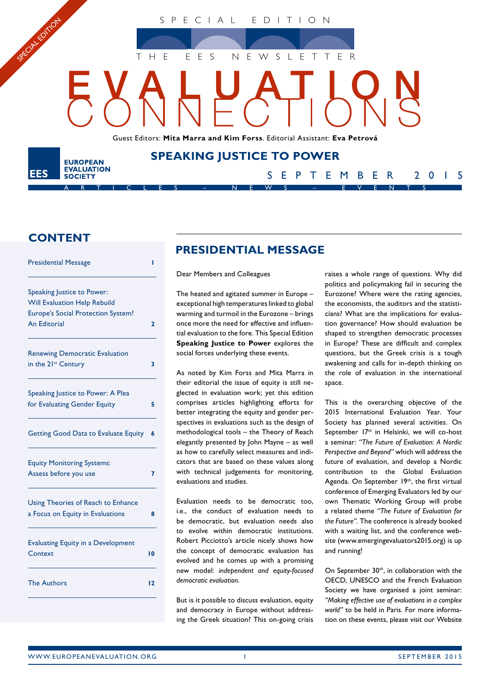SPECIAL EDITION

THE EES NEWSLETTER

Guest Editors: **Mita Marra and Kim Forss**. Editorial Assistant: **Eva Petrová**

**SPEAKING JUSTICE TO POWER**

ARTICLES – NEWS – EVENTS

## **CONTENT**

**EUROPEAN EVALUATION** 

**SOCIETY** 

SPECIAL EDITON

EES

| <b>Presidential Message</b>                                              | ı            |
|--------------------------------------------------------------------------|--------------|
| Speaking Justice to Power:<br><b>Will Evaluation Help Rebuild</b>        |              |
| Europe's Social Protection System?<br><b>An Editorial</b>                | $\mathbf{z}$ |
| <b>Renewing Democratic Evaluation</b><br>in the 21 <sup>st</sup> Century | 3            |
| Speaking Justice to Power: A Plea                                        |              |
| for Evaluating Gender Equity                                             | 5            |
| <b>Getting Good Data to Evaluate Equity</b>                              | 6            |
| <b>Equity Monitoring Systems:</b><br>Assess before you use               | 7            |
| Using Theories of Reach to Enhance<br>a Focus on Equity in Evaluations   | 8            |
| <b>Evaluating Equity in a Development</b><br>Context                     | 10           |
| <b>The Authors</b>                                                       | 12           |

# **PRESIDENTIAL MESSAGE**

Dear Members and Colleagues

The heated and agitated summer in Europe – exceptional high temperatures linked to global warming and turmoil in the Eurozone – brings once more the need for effective and influential evaluation to the fore. This Special Edition **Speaking Justice to Power** explores the social forces underlying these events.

As noted by Kim Forss and Mita Marra in their editorial the issue of equity is still neglected in evaluation work; yet this edition comprises articles highlighting efforts for better integrating the equity and gender perspectives in evaluations such as the design of methodological tools – the Theory of Reach elegantly presented by John Mayne – as well as how to carefully select measures and indicators that are based on these values along with technical judgements for monitoring, evaluations and studies.

Evaluation needs to be democratic too, i.e., the conduct of evaluation needs to be democratic, but evaluation needs also to evolve within democratic institutions. Robert Picciotto's article nicely shows how the concept of democratic evaluation has evolved and he comes up with a promising new model: *independent and equity-focused democratic evaluation*.

But is it possible to discuss evaluation, equity and democracy in Europe without addressing the Greek situation? This on-going crisis raises a whole range of questions. Why did politics and policymaking fail in securing the Eurozone? Where were the rating agencies, the economists, the auditors and the statisticians? What are the implications for evaluation governance? How should evaluation be shaped to strengthen democratic processes in Europe? These are difficult and complex questions, but the Greek crisis is a tough awakening and calls for in-depth thinking on the role of evaluation in the international space.

SEPTEMBER 2015

This is the overarching objective of the 2015 International Evaluation Year. Your Society has planned several activities. On September 17<sup>th</sup> in Helsinki, we will co-host a seminar: *"The Future of Evaluation: A Nordic Perspective and Beyond"* which will address the future of evaluation, and develop a Nordic contribution to the Global Evaluation Agenda. On September 19<sup>th</sup>, the first virtual conference of Emerging Evaluators led by our own Thematic Working Group will probe a related theme *"The Future of Evaluation for the Future"*. The conference is already booked with a waiting list, and the conference website (www.emergingevaluators2015.org) is up and running!

On September 30<sup>th</sup>, in collaboration with the OECD, UNESCO and the French Evaluation Society we have organised a joint seminar: *"Making effective use of evaluations in a complex world"* to be held in Paris. For more information on these events, please visit our Website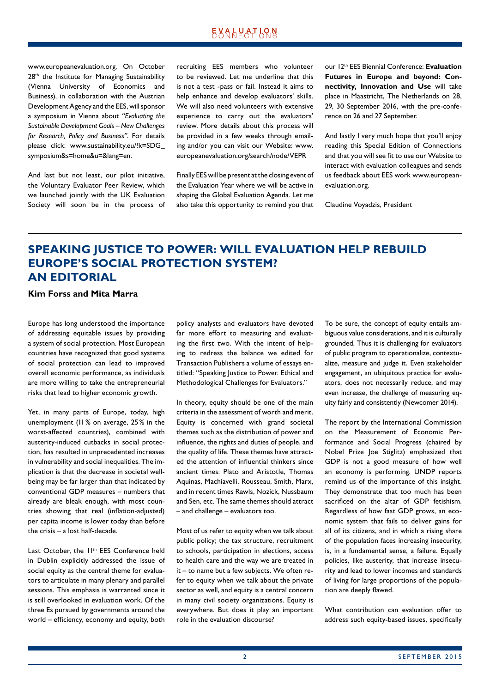<span id="page-1-0"></span>www.europeanevaluation.org. On October 28<sup>th</sup> the Institute for Managing Sustainability (Vienna University of Economics and Business), in collaboration with the Austrian Development Agency and the EES, will sponsor a symposium in Vienna about *"Evaluating the Sustainable Development Goals – New Challenges for Research, Policy and Business"*. For details please click: www.sustainability.eu/?k=SDG\_ symposium&s=home&u=&lang=en.

And last but not least, our pilot initiative, the Voluntary Evaluator Peer Review, which we launched jointly with the UK Evaluation Society will soon be in the process of recruiting EES members who volunteer to be reviewed. Let me underline that this is not a test -pass or fail. Instead it aims to help enhance and develop evaluators' skills. We will also need volunteers with extensive experience to carry out the evaluators' review. More details about this process will be provided in a few weeks through emailing and/or you can visit our Website: www. europeanevaluation.org/search/node/VEPR

Finally EES will be present at the closing event of the Evaluation Year where we will be active in shaping the Global Evaluation Agenda. Let me also take this opportunity to remind you that our 12th EES Biennial Conference: **Evaluation Futures in Europe and beyond: Connectivity, Innovation and Use** will take place in Maastricht, The Netherlands on 28, 29, 30 September 2016, with the pre-conference on 26 and 27 September.

And lastly I very much hope that you'll enjoy reading this Special Edition of Connections and that you will see fit to use our Website to interact with evaluation colleagues and sends us feedback about EES work www.europeanevaluation.org.

Claudine Voyadzis, President

# **SPEAKING JUSTICE TO POWER: WILL EVALUATION HELP REBUILD EUROPE'S SOCIAL PROTECTION SYSTEM? AN EDITORIAL**

### **Kim Forss and Mita Marra**

Europe has long understood the importance of addressing equitable issues by providing a system of social protection. Most European countries have recognized that good systems of social protection can lead to improved overall economic performance, as individuals are more willing to take the entrepreneurial risks that lead to higher economic growth.

Yet, in many parts of Europe, today, high unemployment (11% on average, 25% in the worst-affected countries), combined with austerity-induced cutbacks in social protection, has resulted in unprecedented increases in vulnerability and social inequalities. The implication is that the decrease in societal wellbeing may be far larger than that indicated by conventional GDP measures – numbers that already are bleak enough, with most countries showing that real (inflation-adjusted) per capita income is lower today than before the crisis – a lost half-decade.

Last October, the 11<sup>th</sup> EES Conference held in Dublin explicitly addressed the issue of social equity as the central theme for evaluators to articulate in many plenary and parallel sessions. This emphasis is warranted since it is still overlooked in evaluation work. Of the three Es pursued by governments around the world – efficiency, economy and equity, both

policy analysts and evaluators have devoted far more effort to measuring and evaluating the first two. With the intent of helping to redress the balance we edited for Transaction Publishers a volume of essays entitled: "Speaking Justice to Power. Ethical and Methodological Challenges for Evaluators."

In theory, equity should be one of the main criteria in the assessment of worth and merit. Equity is concerned with grand societal themes such as the distribution of power and influence, the rights and duties of people, and the quality of life. These themes have attracted the attention of influential thinkers since ancient times: Plato and Aristotle, Thomas Aquinas, Machiavelli, Rousseau, Smith, Marx, and in recent times Rawls, Nozick, Nussbaum and Sen, etc. The same themes should attract – and challenge – evaluators too.

Most of us refer to equity when we talk about public policy; the tax structure, recruitment to schools, participation in elections, access to health care and the way we are treated in it – to name but a few subjects. We often refer to equity when we talk about the private sector as well, and equity is a central concern in many civil society organizations. Equity is everywhere. But does it play an important role in the evaluation discourse?

To be sure, the concept of equity entails ambiguous value considerations, and it is culturally grounded. Thus it is challenging for evaluators of public program to operationalize, contextualize, measure and judge it. Even stakeholder engagement, an ubiquitous practice for evaluators, does not necessarily reduce, and may even increase, the challenge of measuring equity fairly and consistently (Newcomer 2014).

The report by the International Commission on the Measurement of Economic Performance and Social Progress (chaired by Nobel Prize Joe Stiglitz) emphasized that GDP is not a good measure of how well an economy is performing. UNDP reports remind us of the importance of this insight. They demonstrate that too much has been sacrificed on the altar of GDP fetishism. Regardless of how fast GDP grows, an economic system that fails to deliver gains for all of its citizens, and in which a rising share of the population faces increasing insecurity, is, in a fundamental sense, a failure. Equally policies, like austerity, that increase insecurity and lead to lower incomes and standards of living for large proportions of the population are deeply flawed.

What contribution can evaluation offer to address such equity-based issues, specifically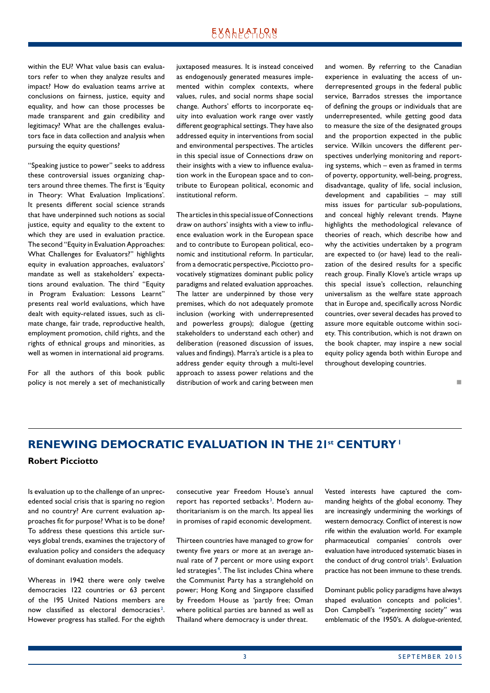## <u> EXAHPATIONS</u>

<span id="page-2-0"></span>within the EU? What value basis can evaluators refer to when they analyze results and impact? How do evaluation teams arrive at conclusions on fairness, justice, equity and equality, and how can those processes be made transparent and gain credibility and legitimacy? What are the challenges evaluators face in data collection and analysis when pursuing the equity questions?

"Speaking justice to power" seeks to address these controversial issues organizing chapters around three themes. The first is 'Equity in Theory: What Evaluation Implications'. It presents different social science strands that have underpinned such notions as social justice, equity and equality to the extent to which they are used in evaluation practice. The second "Equity in Evaluation Approaches: What Challenges for Evaluators?" highlights equity in evaluation approaches, evaluators' mandate as well as stakeholders' expectations around evaluation. The third "Equity in Program Evaluation: Lessons Learnt" presents real world evaluations, which have dealt with equity-related issues, such as climate change, fair trade, reproductive health, employment promotion, child rights, and the rights of ethnical groups and minorities, as well as women in international aid programs.

For all the authors of this book public policy is not merely a set of mechanistically juxtaposed measures. It is instead conceived as endogenously generated measures implemented within complex contexts, where values, rules, and social norms shape social change. Authors' efforts to incorporate equity into evaluation work range over vastly different geographical settings. They have also addressed equity in interventions from social and environmental perspectives. The articles in this special issue of Connections draw on their insights with a view to influence evaluation work in the European space and to contribute to European political, economic and institutional reform.

The articles in this special issue of Connections draw on authors' insights with a view to influence evaluation work in the European space and to contribute to European political, economic and institutional reform. In particular, from a democratic perspective, Picciotto provocatively stigmatizes dominant public policy paradigms and related evaluation approaches. The latter are underpinned by those very premises, which do not adequately promote inclusion (working with underrepresented and powerless groups); dialogue (getting stakeholders to understand each other) and deliberation (reasoned discussion of issues, values and findings). Marra's article is a plea to address gender equity through a multi-level approach to assess power relations and the distribution of work and caring between men and women. By referring to the Canadian experience in evaluating the access of underrepresented groups in the federal public service, Barrados stresses the importance of defining the groups or individuals that are underrepresented, while getting good data to measure the size of the designated groups and the proportion expected in the public service. Wilkin uncovers the different perspectives underlying monitoring and reporting systems, which – even as framed in terms of poverty, opportunity, well-being, progress, disadvantage, quality of life, social inclusion, development and capabilities – may still miss issues for particular sub-populations, and conceal highly relevant trends. Mayne highlights the methodological relevance of theories of reach, which describe how and why the activities undertaken by a program are expected to (or have) lead to the realization of the desired results for a specific reach group. Finally Klove's article wraps up this special issue's collection, relaunching universalism as the welfare state approach that in Europe and, specifically across Nordic countries, over several decades has proved to assure more equitable outcome within society. This contribution, which is not drawn on the book chapter, may inspire a new social equity policy agenda both within Europe and throughout developing countries.

n

# **RENEWING DEMOCRATIC EVALUATION IN THE 21st CENTURY1**

### **Robert Picciotto**

Is evaluation up to the challenge of an unprecedented social crisis that is sparing no region and no country? Are current evaluation approaches fit for purpose? What is to be done? To address these questions this article surveys global trends, examines the trajectory of evaluation policy and considers the adequacy of dominant evaluation models.

Whereas in 1942 there were only twelve democracies 122 countries or 63 percent of the 195 United Nations members are now classified as electoral democracies<sup>2</sup>. However progress has stalled. For the eighth

consecutive year Freedom House's annual report has reported setbacks<sup>3</sup>. Modern authoritarianism is on the march. Its appeal lies in promises of rapid economic development.

Thirteen countries have managed to grow for twenty five years or more at an average annual rate of 7 percent or more using export led strategies<sup>4</sup>. The list includes China where the Communist Party has a stranglehold on power; Hong Kong and Singapore classified by Freedom House as 'partly free; Oman where political parties are banned as well as Thailand where democracy is under threat.

Vested interests have captured the commanding heights of the global economy. They are increasingly undermining the workings of western democracy. Conflict of interest is now rife within the evaluation world. For example pharmaceutical companies' controls over evaluation have introduced systematic biases in the conduct of drug control trials<sup>5</sup>. Evaluation practice has not been immune to these trends.

Dominant public policy paradigms have always shaped evaluation concepts and policies<sup>6</sup>. Don Campbell's *"experimenting society"* was emblematic of the 1950's. A *dialogue-oriented*,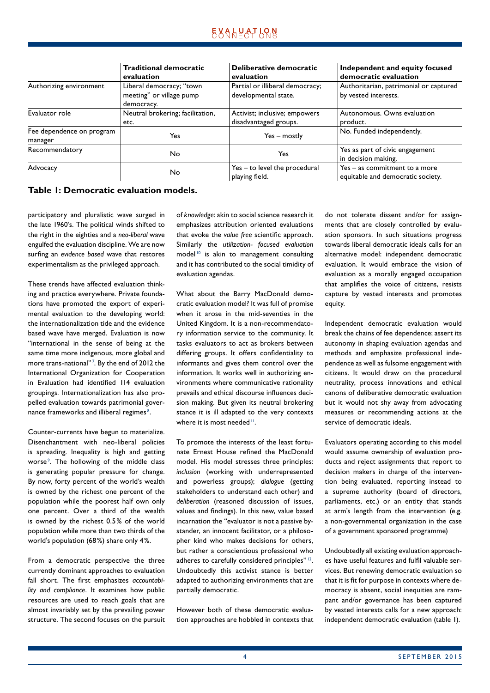|                                      | <b>Traditional democratic</b><br>evaluation                        | Deliberative democratic<br>evaluation                   | Independent and equity focused<br>democratic evaluation              |
|--------------------------------------|--------------------------------------------------------------------|---------------------------------------------------------|----------------------------------------------------------------------|
| Authorizing environment              | Liberal democracy; "town<br>meeting" or village pump<br>democracy. | Partial or illiberal democracy;<br>developmental state. | Authoritarian, patrimonial or captured<br>by vested interests.       |
| Evaluator role                       | Neutral brokering; facilitation,<br>etc.                           | Activist; inclusive; empowers<br>disadvantaged groups.  | Autonomous, Owns evaluation<br>product.                              |
| Fee dependence on program<br>manager | Yes                                                                | Yes – mostly                                            | No. Funded independently.                                            |
| Recommendatory                       | No.                                                                | Yes                                                     | Yes as part of civic engagement<br>in decision making.               |
| Advocacy                             | No                                                                 | $Yes - to level the procedural$<br>playing field.       | $Yes - as commitment to a more$<br>equitable and democratic society. |

### **Table 1: Democratic evaluation models.**

participatory and pluralistic wave surged in the late 1960's. The political winds shifted to the right in the eighties and a *neo-liberal* wave engulfed the evaluation discipline. We are now surfing an *evidence based* wave that restores experimentalism as the privileged approach.

These trends have affected evaluation thinking and practice everywhere. Private foundations have promoted the export of experimental evaluation to the developing world: the internationalization tide and the evidence based wave have merged. Evaluation is now "international in the sense of being at the same time more indigenous, more global and more trans-national"<sup>7</sup>. By the end of 2012 the International Organization for Cooperation in Evaluation had identified 114 evaluation groupings. Internationalization has also propelled evaluation towards patrimonial governance frameworks and illiberal regimes<sup>8</sup>.

Counter-currents have begun to materialize. Disenchantment with neo-liberal policies is spreading. Inequality is high and getting worse<sup>9</sup>. The hollowing of the middle class is generating popular pressure for change. By now, forty percent of the world's wealth is owned by the richest one percent of the population while the poorest half own only one percent. Over a third of the wealth is owned by the richest 0.5% of the world population while more than two thirds of the world's population (68%) share only 4%.

From a democratic perspective the three currently dominant approaches to evaluation fall short. The first emphasizes *accountability and compliance*. It examines how public resources are used to reach goals that are almost invariably set by the prevailing power structure. The second focuses on the pursuit of *knowledge*: akin to social science research it emphasizes attribution oriented evaluations that evoke the *value free* scientific approach. Similarly the *utilization- focused evaluation*  model<sup>10</sup> is akin to management consulting and it has contributed to the social timidity of evaluation agendas.

What about the Barry MacDonald democratic evaluation model? It was full of promise when it arose in the mid-seventies in the United Kingdom. It is a non-recommendatory information service to the community. It tasks evaluators to act as brokers between differing groups. It offers confidentiality to informants and gives them control over the information. It works well in authorizing environments where communicative rationality prevails and ethical discourse influences decision making. But given its neutral brokering stance it is ill adapted to the very contexts where it is most needed<sup>11</sup>.

To promote the interests of the least fortunate Ernest House refined the MacDonald model. His model stresses three principles: *inclusion* (working with underrepresented and powerless groups); *dialogue* (getting stakeholders to understand each other) and *deliberation* (reasoned discussion of issues, values and findings). In this new, value based incarnation the "evaluator is not a passive bystander, an innocent facilitator, or a philosopher kind who makes decisions for others, but rather a conscientious professional who adheres to carefully considered principles"<sup>12</sup>. Undoubtedly this activist stance is better adapted to authorizing environments that are partially democratic.

However both of these democratic evaluation approaches are hobbled in contexts that do not tolerate dissent and/or for assignments that are closely controlled by evaluation sponsors. In such situations progress towards liberal democratic ideals calls for an alternative model: independent democratic evaluation. It would embrace the vision of evaluation as a morally engaged occupation that amplifies the voice of citizens, resists capture by vested interests and promotes equity.

Independent democratic evaluation would break the chains of fee dependence; assert its autonomy in shaping evaluation agendas and methods and emphasize professional independence as well as fulsome engagement with citizens. It would draw on the procedural neutrality, process innovations and ethical canons of deliberative democratic evaluation but it would not shy away from advocating measures or recommending actions at the service of democratic ideals.

Evaluators operating according to this model would assume ownership of evaluation products and reject assignments that report to decision makers in charge of the intervention being evaluated, reporting instead to a supreme authority (board of directors, parliaments, etc.) or an entity that stands at arm's length from the intervention (e.g. a non-governmental organization in the case of a government sponsored programme)

Undoubtedly all existing evaluation approaches have useful features and fulfil valuable services. But renewing democratic evaluation so that it is fit for purpose in contexts where democracy is absent, social inequities are rampant and/or governance has been captured by vested interests calls for a new approach: independent democratic evaluation (table 1).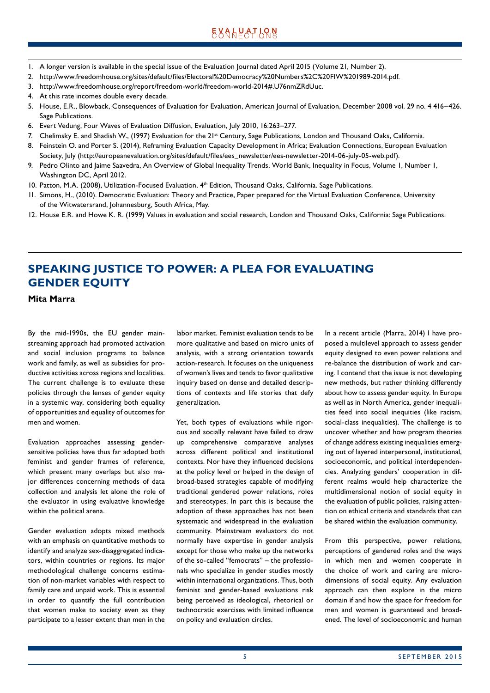- <span id="page-4-0"></span>1. A longer version is available in the special issue of the Evaluation Journal dated April 2015 (Volume 21, Number 2).
- 2. http://www.freedomhouse.org/sites/default/files/Electoral%20Democracy%20Numbers%2C%20FIW%201989-2014.pdf.
- 3. http://www.freedomhouse.org/report/freedom-world/freedom-world-2014#.U76nmZRdUuc.
- 4. At this rate incomes double every decade.
- 5. House, E.R., Blowback, Consequences of Evaluation for Evaluation, American Journal of Evaluation, December 2008 vol. 29 no. 4 416–426. Sage Publications.
- 6. Evert Vedung, Four Waves of Evaluation Diffusion, Evaluation, July 2010, 16:263–277.
- 7. Chelimsky E. and Shadish W., (1997) Evaluation for the 21<sup>st</sup> Century, Sage Publications, London and Thousand Oaks, California.
- 8. Feinstein O. and Porter S. (2014), Reframing Evaluation Capacity Development in Africa; Evaluation Connections, European Evaluation Society, July (http://europeanevaluation.org/sites/default/files/ees\_newsletter/ees-newsletter-2014-06-july-05-web.pdf).
- 9. Pedro Olinto and Jaime Saavedra, An Overview of Global Inequality Trends, World Bank, Inequality in Focus, Volume 1, Number 1, Washington DC, April 2012.
- 10. Patton, M.A. (2008), Utilization-Focused Evaluation, 4<sup>th</sup> Edition, Thousand Oaks, California. Sage Publications.
- 11. Simons, H., (2010). Democratic Evaluation: Theory and Practice, Paper prepared for the Virtual Evaluation Conference, University of the Witwatersrand, Johannesburg, South Africa, May.
- 12. House E.R. and Howe K. R. (1999) Values in evaluation and social research, London and Thousand Oaks, California: Sage Publications.

# **SPEAKING JUSTICE TO POWER: A PLEA FOR EVALUATING GENDER EQUITY**

**Mita Marra**

By the mid-1990s, the EU gender mainstreaming approach had promoted activation and social inclusion programs to balance work and family, as well as subsidies for productive activities across regions and localities. The current challenge is to evaluate these policies through the lenses of gender equity in a systemic way, considering both equality of opportunities and equality of outcomes for men and women.

Evaluation approaches assessing gendersensitive policies have thus far adopted both feminist and gender frames of reference, which present many overlaps but also major differences concerning methods of data collection and analysis let alone the role of the evaluator in using evaluative knowledge within the political arena.

Gender evaluation adopts mixed methods with an emphasis on quantitative methods to identify and analyze sex-disaggregated indicators, within countries or regions. Its major methodological challenge concerns estimation of non-market variables with respect to family care and unpaid work. This is essential in order to quantify the full contribution that women make to society even as they participate to a lesser extent than men in the labor market. Feminist evaluation tends to be more qualitative and based on micro units of analysis, with a strong orientation towards action-research. It focuses on the uniqueness of women's lives and tends to favor qualitative inquiry based on dense and detailed descriptions of contexts and life stories that defy generalization.

Yet, both types of evaluations while rigorous and socially relevant have failed to draw up comprehensive comparative analyses across different political and institutional contexts. Nor have they influenced decisions at the policy level or helped in the design of broad-based strategies capable of modifying traditional gendered power relations, roles and stereotypes. In part this is because the adoption of these approaches has not been systematic and widespread in the evaluation community. Mainstream evaluators do not normally have expertise in gender analysis except for those who make up the networks of the so-called "femocrats" – the professionals who specialize in gender studies mostly within international organizations. Thus, both feminist and gender-based evaluations risk being perceived as ideological, rhetorical or technocratic exercises with limited influence on policy and evaluation circles.

In a recent article (Marra, 2014) I have proposed a multilevel approach to assess gender equity designed to even power relations and re-balance the distribution of work and caring. I contend that the issue is not developing new methods, but rather thinking differently about how to assess gender equity. In Europe as well as in North America, gender inequalities feed into social inequities (like racism, social-class inequalities). The challenge is to uncover whether and how program theories of change address existing inequalities emerging out of layered interpersonal, institutional, socioeconomic, and political interdependencies. Analyzing genders' cooperation in different realms would help characterize the multidimensional notion of social equity in the evaluation of public policies, raising attention on ethical criteria and standards that can be shared within the evaluation community.

From this perspective, power relations, perceptions of gendered roles and the ways in which men and women cooperate in the choice of work and caring are microdimensions of social equity. Any evaluation approach can then explore in the micro domain if and how the space for freedom for men and women is guaranteed and broadened. The level of socioeconomic and human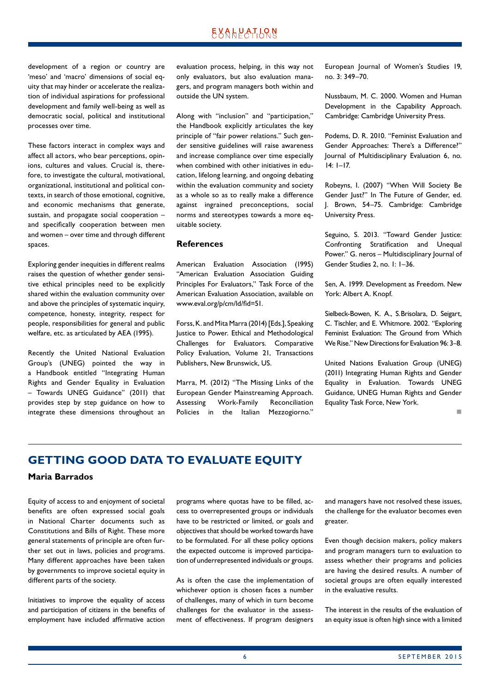<span id="page-5-0"></span>development of a region or country are 'meso' and 'macro' dimensions of social equity that may hinder or accelerate the realization of individual aspirations for professional development and family well-being as well as democratic social, political and institutional processes over time.

These factors interact in complex ways and affect all actors, who bear perceptions, opinions, cultures and values. Crucial is, therefore, to investigate the cultural, motivational, organizational, institutional and political contexts, in search of those emotional, cognitive, and economic mechanisms that generate, sustain, and propagate social cooperation – and specifically cooperation between men and women – over time and through different spaces.

Exploring gender inequities in different realms raises the question of whether gender sensitive ethical principles need to be explicitly shared within the evaluation community over and above the principles of systematic inquiry, competence, honesty, integrity, respect for people, responsibilities for general and public welfare, etc. as articulated by AEA (1995).

Recently the United National Evaluation Group's (UNEG) pointed the way in a Handbook entitled "Integrating Human Rights and Gender Equality in Evaluation – Towards UNEG Guidance" (2011) that provides step by step guidance on how to integrate these dimensions throughout an

evaluation process, helping, in this way not only evaluators, but also evaluation managers, and program managers both within and outside the UN system.

Along with "inclusion" and "participation," the Handbook explicitly articulates the key principle of "fair power relations." Such gender sensitive guidelines will raise awareness and increase compliance over time especially when combined with other initiatives in education, lifelong learning, and ongoing debating within the evaluation community and society as a whole so as to really make a difference against ingrained preconceptions, social norms and stereotypes towards a more equitable society.

#### **References**

American Evaluation Association (1995) "American Evaluation Association Guiding Principles For Evaluators," Task Force of the American Evaluation Association, available on www.eval.org/p/cm/ld/fid=51.

Forss, K. and Mita Marra (2014) [Eds.], Speaking Justice to Power. Ethical and Methodological Challenges for Evaluators. Comparative Policy Evaluation, Volume 21, Transactions Publishers, New Brunswick, US.

Marra, M. (2012) "The Missing Links of the European Gender Mainstreaming Approach. Assessing Work-Family Reconciliation Policies in the Italian Mezzogiorno."

European Journal of Women's Studies 19, no. 3: 349–70.

Nussbaum, M. C. 2000. Women and Human Development in the Capability Approach. Cambridge: Cambridge University Press.

Podems, D. R. 2010. "Feminist Evaluation and Gender Approaches: There's a Difference?" Journal of Multidisciplinary Evaluation 6, no. 14: 1–17.

Robeyns, I. (2007) "When Will Society Be Gender Just?" In The Future of Gender, ed. J. Brown, 54–75. Cambridge: Cambridge University Press.

Seguino, S. 2013. "Toward Gender Justice: Confronting Stratification and Unequal Power." G. neros – Multidisciplinary Journal of Gender Studies 2, no. 1: 1–36.

Sen, A. 1999. Development as Freedom. New York: Albert A. Knopf.

Sielbeck-Bowen, K. A., S.Brisolara, D. Seigart, C. Tischler, and E. Whitmore. 2002. "Exploring Feminist Evaluation: The Ground from Which We Rise." New Directions for Evaluation 96: 3–8.

United Nations Evaluation Group (UNEG) (2011) Integrating Human Rights and Gender Equality in Evaluation. Towards UNEG Guidance, UNEG Human Rights and Gender Equality Task Force, New York.

n

## **GETTING GOOD DATA TO EVALUATE EQUITY**

### **Maria Barrados**

Equity of access to and enjoyment of societal benefits are often expressed social goals in National Charter documents such as Constitutions and Bills of Right. These more general statements of principle are often further set out in laws, policies and programs. Many different approaches have been taken by governments to improve societal equity in different parts of the society.

Initiatives to improve the equality of access and participation of citizens in the benefits of employment have included affirmative action programs where quotas have to be filled, access to overrepresented groups or individuals have to be restricted or limited, or goals and objectives that should be worked towards have to be formulated. For all these policy options the expected outcome is improved participation of underrepresented individuals or groups.

As is often the case the implementation of whichever option is chosen faces a number of challenges, many of which in turn become challenges for the evaluator in the assessment of effectiveness. If program designers and managers have not resolved these issues, the challenge for the evaluator becomes even greater.

Even though decision makers, policy makers and program managers turn to evaluation to assess whether their programs and policies are having the desired results. A number of societal groups are often equally interested in the evaluative results.

The interest in the results of the evaluation of an equity issue is often high since with a limited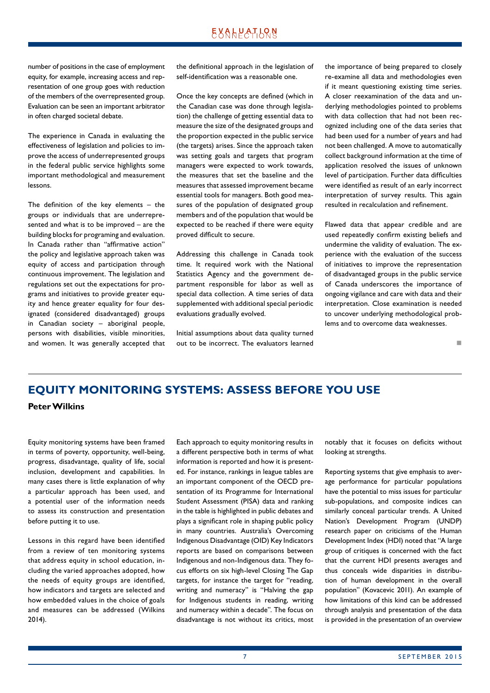<span id="page-6-0"></span>number of positions in the case of employment equity, for example, increasing access and representation of one group goes with reduction of the members of the overrepresented group. Evaluation can be seen an important arbitrator in often charged societal debate.

The experience in Canada in evaluating the effectiveness of legislation and policies to improve the access of underrepresented groups in the federal public service highlights some important methodological and measurement lessons.

The definition of the key elements  $-$  the groups or individuals that are underrepresented and what is to be improved – are the building blocks for programing and evaluation. In Canada rather than "affirmative action" the policy and legislative approach taken was equity of access and participation through continuous improvement. The legislation and regulations set out the expectations for programs and initiatives to provide greater equity and hence greater equality for four designated (considered disadvantaged) groups in Canadian society – aboriginal people, persons with disabilities, visible minorities, and women. It was generally accepted that the definitional approach in the legislation of self-identification was a reasonable one.

Once the key concepts are defined (which in the Canadian case was done through legislation) the challenge of getting essential data to measure the size of the designated groups and the proportion expected in the public service (the targets) arises. Since the approach taken was setting goals and targets that program managers were expected to work towards, the measures that set the baseline and the measures that assessed improvement became essential tools for managers. Both good measures of the population of designated group members and of the population that would be expected to be reached if there were equity proved difficult to secure.

Addressing this challenge in Canada took time. It required work with the National Statistics Agency and the government department responsible for labor as well as special data collection. A time series of data supplemented with additional special periodic evaluations gradually evolved.

Initial assumptions about data quality turned out to be incorrect. The evaluators learned the importance of being prepared to closely re-examine all data and methodologies even if it meant questioning existing time series. A closer reexamination of the data and underlying methodologies pointed to problems with data collection that had not been recognized including one of the data series that had been used for a number of years and had not been challenged. A move to automatically collect background information at the time of application resolved the issues of unknown level of participation. Further data difficulties were identified as result of an early incorrect interpretation of survey results. This again resulted in recalculation and refinement.

Flawed data that appear credible and are used repeatedly confirm existing beliefs and undermine the validity of evaluation. The experience with the evaluation of the success of initiatives to improve the representation of disadvantaged groups in the public service of Canada underscores the importance of ongoing vigilance and care with data and their interpretation. Close examination is needed to uncover underlying methodological problems and to overcome data weaknesses.

n

# **EQUITY MONITORING SYSTEMS: ASSESS BEFORE YOU USE Peter Wilkins**

Equity monitoring systems have been framed in terms of poverty, opportunity, well-being, progress, disadvantage, quality of life, social inclusion, development and capabilities. In many cases there is little explanation of why a particular approach has been used, and a potential user of the information needs to assess its construction and presentation before putting it to use.

Lessons in this regard have been identified from a review of ten monitoring systems that address equity in school education, including the varied approaches adopted, how the needs of equity groups are identified, how indicators and targets are selected and how embedded values in the choice of goals and measures can be addressed (Wilkins 2014).

Each approach to equity monitoring results in a different perspective both in terms of what information is reported and how it is presented. For instance, rankings in league tables are an important component of the OECD presentation of its Programme for International Student Assessment (PISA) data and ranking in the table is highlighted in public debates and plays a significant role in shaping public policy in many countries. Australia's Overcoming Indigenous Disadvantage (OID) Key Indicators reports are based on comparisons between Indigenous and non-Indigenous data. They focus efforts on six high-level Closing The Gap targets, for instance the target for "reading, writing and numeracy" is "Halving the gap for Indigenous students in reading, writing and numeracy within a decade". The focus on disadvantage is not without its critics, most

notably that it focuses on deficits without looking at strengths.

Reporting systems that give emphasis to average performance for particular populations have the potential to miss issues for particular sub-populations, and composite indices can similarly conceal particular trends. A United Nation's Development Program (UNDP) research paper on criticisms of the Human Development Index (HDI) noted that "A large group of critiques is concerned with the fact that the current HDI presents averages and thus conceals wide disparities in distribution of human development in the overall population" (Kovacevic 2011). An example of how limitations of this kind can be addressed through analysis and presentation of the data is provided in the presentation of an overview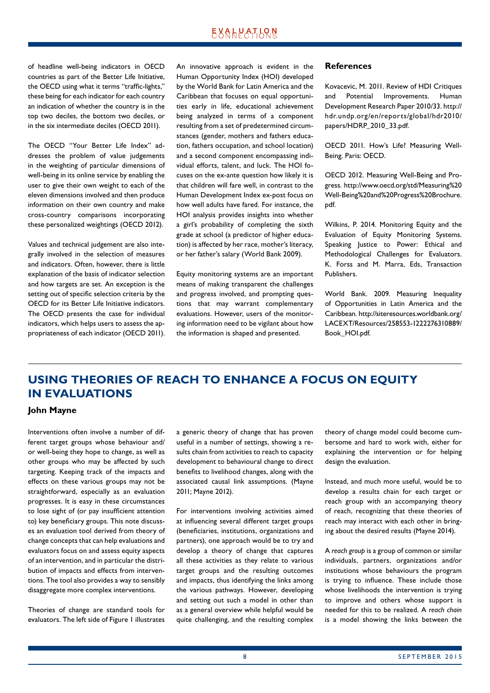<span id="page-7-0"></span>of headline well-being indicators in OECD countries as part of the Better Life Initiative, the OECD using what it terms "traffic-lights," these being for each indicator for each country an indication of whether the country is in the top two deciles, the bottom two deciles, or in the six intermediate deciles (OECD 2011).

The OECD "Your Better Life Index" addresses the problem of value judgements in the weighting of particular dimensions of well-being in its online service by enabling the user to give their own weight to each of the eleven dimensions involved and then produce information on their own country and make cross-country comparisons incorporating these personalized weightings (OECD 2012).

Values and technical judgement are also integrally involved in the selection of measures and indicators. Often, however, there is little explanation of the basis of indicator selection and how targets are set. An exception is the setting out of specific selection criteria by the OECD for its Better Life Initiative indicators. The OECD presents the case for individual indicators, which helps users to assess the appropriateness of each indicator (OECD 2011).

An innovative approach is evident in the Human Opportunity Index (HOI) developed by the World Bank for Latin America and the Caribbean that focuses on equal opportunities early in life, educational achievement being analyzed in terms of a component resulting from a set of predetermined circumstances (gender, mothers and fathers education, fathers occupation, and school location) and a second component encompassing individual efforts, talent, and luck. The HOI focuses on the ex-ante question how likely it is that children will fare well, in contrast to the Human Development Index ex-post focus on how well adults have fared. For instance, the HOI analysis provides insights into whether a girl's probability of completing the sixth grade at school (a predictor of higher education) is affected by her race, mother's literacy, or her father's salary (World Bank 2009).

Equity monitoring systems are an important means of making transparent the challenges and progress involved, and prompting questions that may warrant complementary evaluations. However, users of the monitoring information need to be vigilant about how the information is shaped and presented.

### **References**

Kovacevic, M. 2011. Review of HDI Critiques and Potential Improvements. Human Development Research Paper 2010/33. http:// hdr.undp.org/en/reports/global/hdr2010/ papers/HDRP\_2010\_33.pdf.

OECD 2011. How's Life? Measuring Well-Being. Paris: OECD.

OECD 2012. Measuring Well-Being and Progress. http://www.oecd.org/std/Measuring%20 Well-Being%20and%20Progress%20Brochure. pdf.

Wilkins, P. 2014. Monitoring Equity and the Evaluation of Equity Monitoring Systems. Speaking Justice to Power: Ethical and Methodological Challenges for Evaluators. K. Forss and M. Marra, Eds, Transaction Publishers.

World Bank. 2009. Measuring Inequality of Opportunities in Latin America and the Caribbean. http://siteresources.worldbank.org/ LACEXT/Resources/258553-1222276310889/ Book\_HOI.pdf.

# **USING THEORIES OF REACH TO ENHANCE A FOCUS ON EQUITY IN EVALUATIONS**

### **John Mayne**

Interventions often involve a number of different target groups whose behaviour and/ or well-being they hope to change, as well as other groups who may be affected by such targeting. Keeping track of the impacts and effects on these various groups may not be straightforward, especially as an evaluation progresses. It is easy in these circumstances to lose sight of (or pay insufficient attention to) key beneficiary groups. This note discusses an evaluation tool derived from theory of change concepts that can help evaluations and evaluators focus on and assess equity aspects of an intervention, and in particular the distribution of impacts and effects from interventions. The tool also provides a way to sensibly disaggregate more complex interventions.

Theories of change are standard tools for evaluators. The left side of Figure 1 illustrates a generic theory of change that has proven useful in a number of settings, showing a results chain from activities to reach to capacity development to behavioural change to direct benefits to livelihood changes, along with the associated causal link assumptions. (Mayne 2011; Mayne 2012).

For interventions involving activities aimed at influencing several different target groups (beneficiaries, institutions, organizations and partners), one approach would be to try and develop a theory of change that captures all these activities as they relate to various target groups and the resulting outcomes and impacts, thus identifying the links among the various pathways. However, developing and setting out such a model in other than as a general overview while helpful would be quite challenging, and the resulting complex theory of change model could become cumbersome and hard to work with, either for explaining the intervention or for helping design the evaluation.

Instead, and much more useful, would be to develop a results chain for each target or reach group with an accompanying theory of reach, recognizing that these theories of reach may interact with each other in bringing about the desired results (Mayne 2014).

A *reach group* is a group of common or similar individuals, partners, organizations and/or institutions whose behaviours the program is trying to influence. These include those whose livelihoods the intervention is trying to improve and others whose support is needed for this to be realized. A *reach chain*  is a model showing the links between the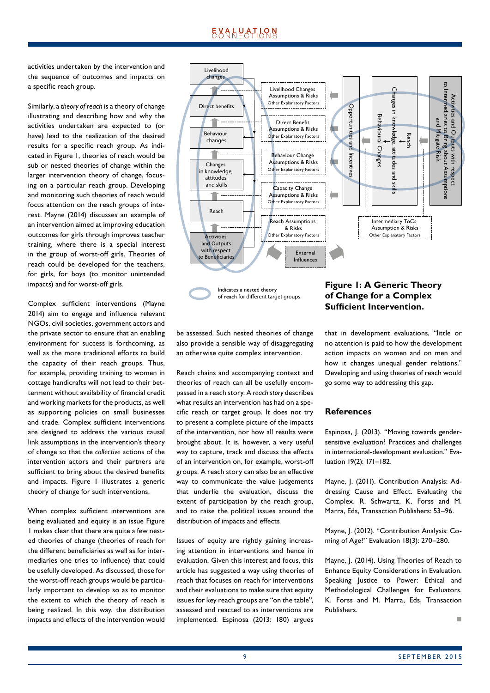activities undertaken by the intervention and the sequence of outcomes and impacts on a specific reach group.

Similarly, a *theory of reach* is a theory of change illustrating and describing how and why the activities undertaken are expected to (or have) lead to the realization of the desired results for a specific reach group. As indicated in Figure 1, theories of reach would be sub or nested theories of change within the larger intervention theory of change, focusing on a particular reach group. Developing and monitoring such theories of reach would focus attention on the reach groups of interest. Mayne (2014) discusses an example of an intervention aimed at improving education outcomes for girls through improves teacher training, where there is a special interest in the group of worst-off girls. Theories of reach could be developed for the teachers, for girls, for boys (to monitor unintended impacts) and for worst-off girls.

Complex sufficient interventions (Mayne 2014) aim to engage and influence relevant NGOs, civil societies, government actors and the private sector to ensure that an enabling environment for success is forthcoming, as well as the more traditional efforts to build the capacity of their reach groups. Thus, for example, providing training to women in cottage handicrafts will not lead to their betterment without availability of financial credit and working markets for the products, as well as supporting policies on small businesses and trade. Complex sufficient interventions are designed to address the various causal link assumptions in the intervention's theory of change so that the *collective* actions of the intervention actors and their partners are sufficient to bring about the desired benefits and impacts. Figure 1 illustrates a generic theory of change for such interventions.

When complex sufficient interventions are being evaluated and equity is an issue Figure 1 makes clear that there are quite a few nested theories of change (theories of reach for the different beneficiaries as well as for intermediaries one tries to influence) that could be usefully developed. As discussed, those for the worst-off reach groups would be particularly important to develop so as to monitor the extent to which the theory of reach is being realized. In this way, the distribution impacts and effects of the intervention would



Indicates a nested theory of reach for different target groups

be assessed. Such nested theories of change also provide a sensible way of disaggregating an otherwise quite complex intervention.

Reach chains and accompanying context and theories of reach can all be usefully encompassed in a reach story. A *reach story* describes what results an intervention has had on a specific reach or target group. It does not try to present a complete picture of the impacts of the intervention, nor how all results were brought about. It is, however, a very useful way to capture, track and discuss the effects of an intervention on, for example, worst-off groups. A reach story can also be an effective way to communicate the value judgements that underlie the evaluation, discuss the extent of participation by the reach group, and to raise the political issues around the distribution of impacts and effects

Issues of equity are rightly gaining increasing attention in interventions and hence in evaluation. Given this interest and focus, this article has suggested a way using theories of reach that focuses on reach for interventions and their evaluations to make sure that equity issues for key reach groups are "on the table", assessed and reacted to as interventions are implemented. Espinosa (2013: 180) argues

## **Figure 1: A Generic Theory of Change for a Complex Sufficient Intervention.**

that in development evaluations, "little or no attention is paid to how the development action impacts on women and on men and how it changes unequal gender relations." Developing and using theories of reach would go some way to addressing this gap.

### **References**

Espinosa, J. (2013). "Moving towards gendersensitive evaluation? Practices and challenges in international-development evaluation." Evaluation 19(2): 171–182.

Mayne, J. (2011). Contribution Analysis: Addressing Cause and Effect. Evaluating the Complex. R. Schwartz, K. Forss and M. Marra, Eds, Transaction Publishers: 53–96.

Mayne, J. (2012). "Contribution Analysis: Coming of Age?" Evaluation 18(3): 270–280.

Mayne, J. (2014). Using Theories of Reach to Enhance Equity Considerations in Evaluation. Speaking Justice to Power: Ethical and Methodological Challenges for Evaluators. K. Forss and M. Marra, Eds, Transaction Publishers.

n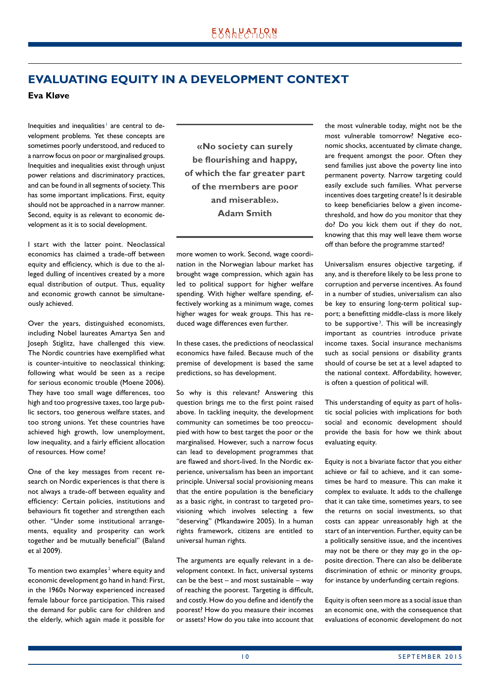# <span id="page-9-0"></span>**EVALUATING EQUITY IN A DEVELOPMENT CONTEXT**

**Eva Kløve**

Inequities and inequalities<sup>1</sup> are central to development problems. Yet these concepts are sometimes poorly understood, and reduced to a narrow focus on poor or marginalised groups. Inequities and inequalities exist through unjust power relations and discriminatory practices, and can be found in all segments of society. This has some important implications. First, equity should not be approached in a narrow manner. Second, equity is as relevant to economic development as it is to social development.

I start with the latter point. Neoclassical economics has claimed a trade-off between equity and efficiency, which is due to the alleged dulling of incentives created by a more equal distribution of output. Thus, equality and economic growth cannot be simultaneously achieved.

Over the years, distinguished economists, including Nobel laureates Amartya Sen and Joseph Stiglitz, have challenged this view. The Nordic countries have exemplified what is counter-intuitive to neoclassical thinking; following what would be seen as a recipe for serious economic trouble (Moene 2006). They have too small wage differences, too high and too progressive taxes, too large public sectors, too generous welfare states, and too strong unions. Yet these countries have achieved high growth, low unemployment, low inequality, and a fairly efficient allocation of resources. How come?

One of the key messages from recent research on Nordic experiences is that there is not always a trade-off between equality and efficiency: Certain policies, institutions and behaviours fit together and strengthen each other. "Under some institutional arrangements, equality and prosperity can work together and be mutually beneficial" (Baland et al 2009).

To mention two examples<sup>2</sup> where equity and economic development go hand in hand: First, in the 1960s Norway experienced increased female labour force participation. This raised the demand for public care for children and the elderly, which again made it possible for

**«No society can surely be flourishing and happy, of which the far greater part of the members are poor and miserable». Adam Smith**

more women to work. Second, wage coordination in the Norwegian labour market has brought wage compression, which again has led to political support for higher welfare spending. With higher welfare spending, effectively working as a minimum wage, comes higher wages for weak groups. This has reduced wage differences even further.

In these cases, the predictions of neoclassical economics have failed. Because much of the premise of development is based the same predictions, so has development.

So why is this relevant? Answering this question brings me to the first point raised above. In tackling inequity, the development community can sometimes be too preoccupied with how to best target the poor or the marginalised. However, such a narrow focus can lead to development programmes that are flawed and short-lived. In the Nordic experience, universalism has been an important principle. Universal social provisioning means that the entire population is the beneficiary as a basic right, in contrast to targeted provisioning which involves selecting a few "deserving" (Mkandawire 2005). In a human rights framework, citizens are entitled to universal human rights.

The arguments are equally relevant in a development context. In fact, universal systems can be the best – and most sustainable – way of reaching the poorest. Targeting is difficult, and costly. How do you define and identify the poorest? How do you measure their incomes or assets? How do you take into account that the most vulnerable today, might not be the most vulnerable tomorrow? Negative economic shocks, accentuated by climate change, are frequent amongst the poor. Often they send families just above the poverty line into permanent poverty. Narrow targeting could easily exclude such families. What perverse incentives does targeting create? Is it desirable to keep beneficiaries below a given incomethreshold, and how do you monitor that they do? Do you kick them out if they do not, knowing that this may well leave them worse off than before the programme started?

Universalism ensures objective targeting, if any, and is therefore likely to be less prone to corruption and perverse incentives. As found in a number of studies, universalism can also be key to ensuring long-term political support; a benefitting middle-class is more likely to be supportive<sup>3</sup>. This will be increasingly important as countries introduce private income taxes. Social insurance mechanisms such as social pensions or disability grants should of course be set at a level adapted to the national context. Affordability, however, is often a question of political will.

This understanding of equity as part of holistic social policies with implications for both social and economic development should provide the basis for how we think about evaluating equity.

Equity is not a bivariate factor that you either achieve or fail to achieve, and it can sometimes be hard to measure. This can make it complex to evaluate. It adds to the challenge that it can take time, sometimes years, to see the returns on social investments, so that costs can appear unreasonably high at the start of an intervention. Further, equity can be a politically sensitive issue, and the incentives may not be there or they may go in the opposite direction. There can also be deliberate discrimination of ethnic or minority groups, for instance by underfunding certain regions.

Equity is often seen more as a social issue than an economic one, with the consequence that evaluations of economic development do not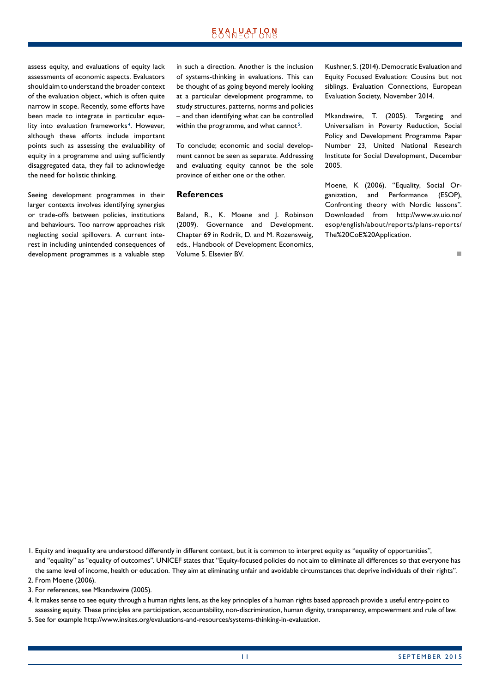## EXALPATLRN

assess equity, and evaluations of equity lack assessments of economic aspects. Evaluators should aim to understand the broader context of the evaluation object, which is often quite narrow in scope. Recently, some efforts have been made to integrate in particular equality into evaluation frameworks<sup>4</sup>. However, although these efforts include important points such as assessing the evaluability of equity in a programme and using sufficiently disaggregated data, they fail to acknowledge the need for holistic thinking.

Seeing development programmes in their larger contexts involves identifying synergies or trade-offs between policies, institutions and behaviours. Too narrow approaches risk neglecting social spillovers. A current interest in including unintended consequences of development programmes is a valuable step in such a direction. Another is the inclusion of systems-thinking in evaluations. This can be thought of as going beyond merely looking at a particular development programme, to study structures, patterns, norms and policies – and then identifying what can be controlled within the programme, and what cannot<sup>5</sup>.

To conclude; economic and social development cannot be seen as separate. Addressing and evaluating equity cannot be the sole province of either one or the other.

### **References**

Baland, R., K. Moene and J. Robinson (2009). Governance and Development. Chapter 69 in Rodrik, D. and M. Rozensweig, eds., Handbook of Development Economics, Volume 5. Elsevier BV.

Kushner, S. (2014). Democratic Evaluation and Equity Focused Evaluation: Cousins but not siblings. Evaluation Connections, European Evaluation Society, November 2014.

Mkandawire, T. (2005). Targeting and Universalism in Poverty Reduction, Social Policy and Development Programme Paper Number 23, United National Research Institute for Social Development, December 2005.

Moene, K (2006). "Equality, Social Organization, and Performance (ESOP), Confronting theory with Nordic lessons". Downloaded from http://www.sv.uio.no/ esop/english/about/reports/plans-reports/ The%20CoE%20Application.

4. It makes sense to see equity through a human rights lens, as the key principles of a human rights based approach provide a useful entry-point to assessing equity. These principles are participation, accountability, non-discrimination, human dignity, transparency, empowerment and rule of law.

5. See for example http://www.insites.org/evaluations-and-resources/systems-thinking-in-evaluation.

n

<sup>1.</sup> Equity and inequality are understood differently in different context, but it is common to interpret equity as "equality of opportunities", and "equality" as "equality of outcomes". UNICEF states that "Equity-focused policies do not aim to eliminate all differences so that everyone has the same level of income, health or education. They aim at eliminating unfair and avoidable circumstances that deprive individuals of their rights". 2. From Moene (2006).

<sup>3.</sup> For references, see Mkandawire (2005).